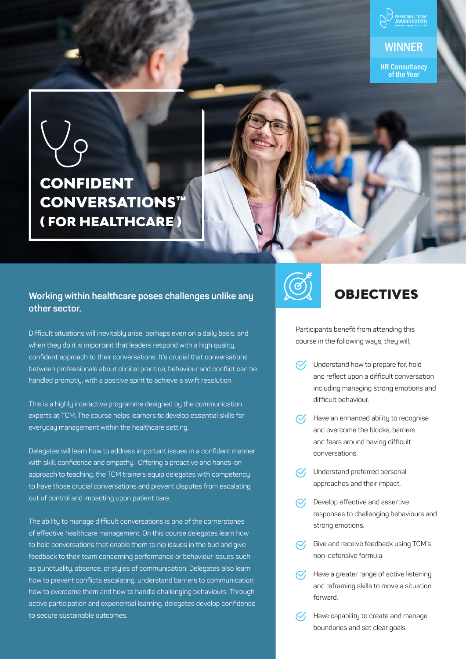

of the Year

# CONFIDENT CONVERSATIONS™ ( FOR HEALTHCARE )

#### **Working within healthcare poses challenges unlike any other sector.**

Difficult situations will inevitably arise, perhaps even on a daily basis, and when they do it is important that leaders respond with a high quality, confident approach to their conversations. It's crucial that conversations between professionals about clinical practice, behaviour and conflict can be handled promptly, with a positive spirit to achieve a swift resolution.

This is a highly interactive programme designed by the communication experts at TCM. The course helps learners to develop essential skills for everyday management within the healthcare setting.

Delegates will learn how to address important issues in a confident manner with skill, confidence and empathy. Offering a proactive and hands-on approach to teaching, the TCM trainers equip delegates with competency to have those crucial conversations and prevent disputes from escalating out of control and impacting upon patient care.

The ability to manage difficult conversations is one of the cornerstones of effective healthcare management. On this course delegates learn how to hold conversations that enable them to nip issues in the bud and give feedback to their team concerning performance or behaviour issues such as punctuality, absence, or styles of communication. Delegates also learn how to prevent conflicts escalating, understand barriers to communication, how to overcome them and how to handle challenging behaviours. Through active participation and experiential learning, delegates develop confidence to secure sustainable outcomes.



## OBJECTIVES

Participants benefit from attending this course in the following ways, they will;

- $\heartsuit$  Understand how to prepare for, hold and reflect upon a difficult conversation including managing strong emotions and difficult behaviour.
- Have an enhanced ability to recognise and overcome the blocks, barriers and fears around having difficult conversations.
- Understand preferred personal approaches and their impact.
- Develop effective and assertive responses to challenging behaviours and strong emotions.
- $\sqrt{\phantom{a}}$  Give and receive feedback using TCM's non-defensive formula.
- $\heartsuit$  Have a greater range of active listening and reframing skills to move a situation forward.
	- Have capability to create and manage boundaries and set clear goals.